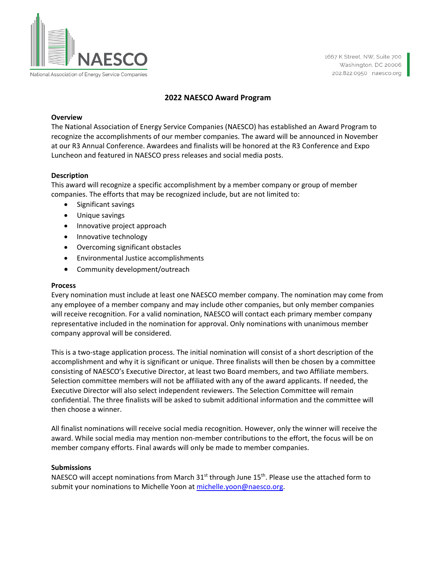

National Association of Energy Service Companies

1667 K Street, NW, Suite 700 Washington, DC 20006 202.822.0950 naesco.org

#### **2022 NAESCO Award Program**

#### **Overview**

The National Association of Energy Service Companies (NAESCO) has established an Award Program to recognize the accomplishments of our member companies. The award will be announced in November at our R3 Annual Conference. Awardees and finalists will be honored at the R3 Conference and Expo Luncheon and featured in NAESCO press releases and social media posts.

### **Description**

This award will recognize a specific accomplishment by a member company or group of member companies. The efforts that may be recognized include, but are not limited to:

- Significant savings
- Unique savings
- Innovative project approach
- Innovative technology
- Overcoming significant obstacles
- Environmental Justice accomplishments
- Community development/outreach

#### **Process**

Every nomination must include at least one NAESCO member company. The nomination may come from any employee of a member company and may include other companies, but only member companies will receive recognition. For a valid nomination, NAESCO will contact each primary member company representative included in the nomination for approval. Only nominations with unanimous member company approval will be considered.

This is a two-stage application process. The initial nomination will consist of a short description of the accomplishment and why it is significant or unique. Three finalists will then be chosen by a committee consisting of NAESCO's Executive Director, at least two Board members, and two Affiliate members. Selection committee members will not be affiliated with any of the award applicants. If needed, the Executive Director will also select independent reviewers. The Selection Committee will remain confidential. The three finalists will be asked to submit additional information and the committee will then choose a winner.

All finalist nominations will receive social media recognition. However, only the winner will receive the award. While social media may mention non-member contributions to the effort, the focus will be on member company efforts. Final awards will only be made to member companies.

#### **Submissions**

NAESCO will accept nominations from March  $31<sup>st</sup>$  through June  $15<sup>th</sup>$ . Please use the attached form to submit your nominations to Michelle Yoon at [michelle.yoon@naesco.org.](mailto:michelle.yoon@naesco.org)